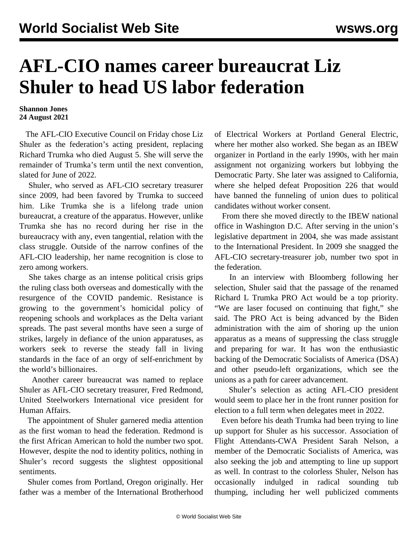## **AFL-CIO names career bureaucrat Liz Shuler to head US labor federation**

## **Shannon Jones 24 August 2021**

 The AFL-CIO Executive Council on Friday chose Liz Shuler as the federation's acting president, replacing Richard Trumka who died August 5. She will serve the remainder of Trumka's term until the next convention, slated for June of 2022.

 Shuler, who served as AFL-CIO secretary treasurer since 2009, had been favored by Trumka to succeed him. Like Trumka she is a lifelong trade union bureaucrat, a creature of the apparatus. However, unlike Trumka she has no record during her rise in the bureaucracy with any, even tangential, relation with the class struggle. Outside of the narrow confines of the AFL-CIO leadership, her name recognition is close to zero among workers.

 She takes charge as an intense political crisis grips the ruling class both overseas and domestically with the resurgence of the COVID pandemic. Resistance is growing to the government's homicidal policy of reopening schools and workplaces as the Delta variant spreads. The past several months have seen a surge of strikes, largely in defiance of the union apparatuses, as workers seek to reverse the steady fall in living standards in the face of an orgy of self-enrichment by the world's billionaires.

 Another career bureaucrat was named to replace Shuler as AFL-CIO secretary treasurer, Fred Redmond, United Steelworkers International vice president for Human Affairs.

 The appointment of Shuler garnered media attention as the first woman to head the federation. Redmond is the first African American to hold the number two spot. However, despite the nod to identity politics, nothing in Shuler's record suggests the slightest oppositional sentiments.

 Shuler comes from Portland, Oregon originally. Her father was a member of the International Brotherhood of Electrical Workers at Portland General Electric, where her mother also worked. She began as an IBEW organizer in Portland in the early 1990s, with her main assignment not organizing workers but lobbying the Democratic Party. She later was assigned to California, where she helped defeat Proposition 226 that would have banned the funneling of union dues to political candidates without worker consent.

 From there she moved directly to the IBEW national office in Washington D.C. After serving in the union's legislative department in 2004, she was made assistant to the International President. In 2009 she snagged the AFL-CIO secretary-treasurer job, number two spot in the federation.

 In an interview with Bloomberg following her selection, Shuler said that the passage of the renamed Richard L Trumka PRO Act would be a top priority. "We are laser focused on continuing that fight," she said. The PRO Act is being advanced by the Biden administration with the aim of shoring up the union apparatus as a means of suppressing the class struggle and preparing for war. It has won the enthusiastic backing of the Democratic Socialists of America (DSA) and other pseudo-left organizations, which see the unions as a path for career advancement.

 Shuler's selection as acting AFL-CIO president would seem to place her in the front runner position for election to a full term when delegates meet in 2022.

 Even before his death Trumka had been trying to line up support for Shuler as his successor. Association of Flight Attendants-CWA President Sarah Nelson, a member of the Democratic Socialists of America, was also seeking the job and attempting to line up support as well. In contrast to the colorless Shuler, Nelson has occasionally indulged in radical sounding tub thumping, including her well publicized comments